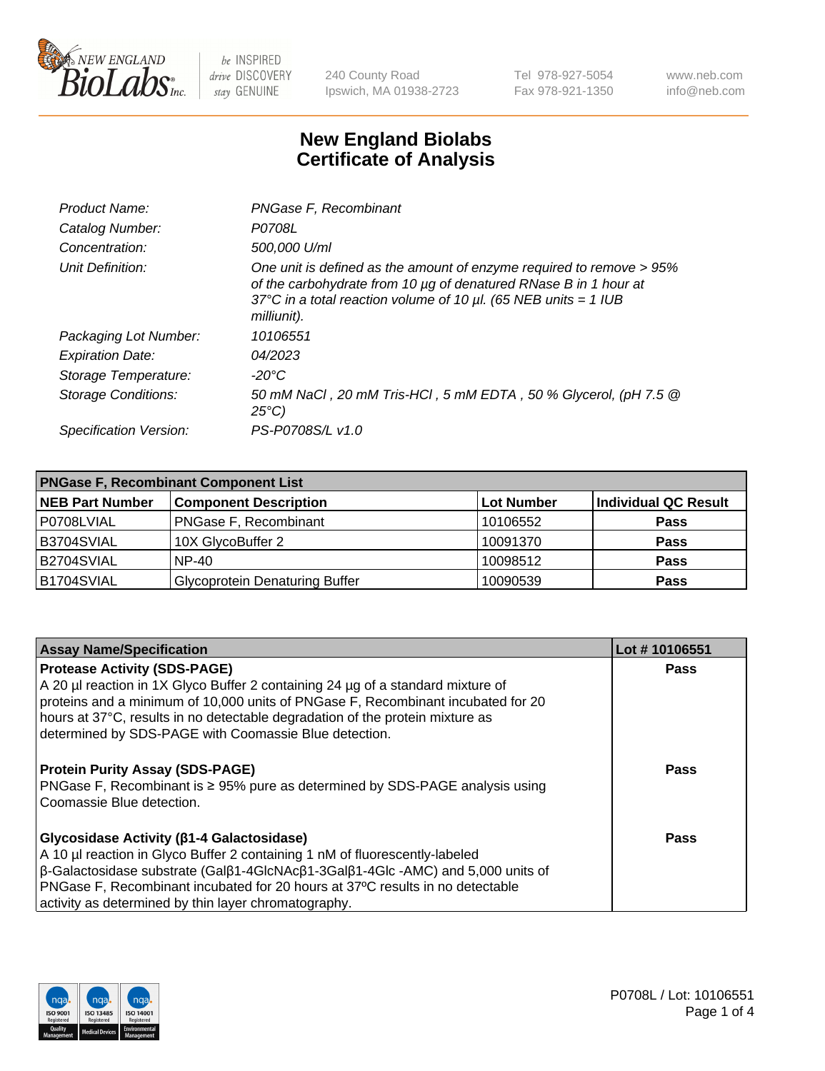

240 County Road Ipswich, MA 01938-2723 Tel 978-927-5054 Fax 978-921-1350 www.neb.com info@neb.com

## **New England Biolabs Certificate of Analysis**

| Product Name:              | PNGase F, Recombinant                                                                                                                                                                                                           |
|----------------------------|---------------------------------------------------------------------------------------------------------------------------------------------------------------------------------------------------------------------------------|
| Catalog Number:            | P0708L                                                                                                                                                                                                                          |
| Concentration:             | 500,000 U/ml                                                                                                                                                                                                                    |
| Unit Definition:           | One unit is defined as the amount of enzyme required to remove > 95%<br>of the carbohydrate from 10 µg of denatured RNase B in 1 hour at<br>37°C in a total reaction volume of 10 $\mu$ l. (65 NEB units = 1 IUB<br>milliunit). |
| Packaging Lot Number:      | 10106551                                                                                                                                                                                                                        |
| <b>Expiration Date:</b>    | 04/2023                                                                                                                                                                                                                         |
| Storage Temperature:       | -20°C                                                                                                                                                                                                                           |
| <b>Storage Conditions:</b> | 50 mM NaCl, 20 mM Tris-HCl, 5 mM EDTA, 50 % Glycerol, (pH 7.5 @<br>$25^{\circ}C$                                                                                                                                                |
| Specification Version:     | PS-P0708S/L v1.0                                                                                                                                                                                                                |

| <b>PNGase F, Recombinant Component List</b> |                                       |                   |                             |  |
|---------------------------------------------|---------------------------------------|-------------------|-----------------------------|--|
| <b>NEB Part Number</b>                      | <b>Component Description</b>          | <b>Lot Number</b> | <b>Individual QC Result</b> |  |
| P0708LVIAL                                  | <b>PNGase F, Recombinant</b>          | 10106552          | <b>Pass</b>                 |  |
| B3704SVIAL                                  | 10X GlycoBuffer 2                     | 10091370          | <b>Pass</b>                 |  |
| B2704SVIAL                                  | $NP-40$                               | 10098512          | <b>Pass</b>                 |  |
| B1704SVIAL                                  | <b>Glycoprotein Denaturing Buffer</b> | 10090539          | <b>Pass</b>                 |  |

| <b>Assay Name/Specification</b>                                                                                | Lot #10106551 |
|----------------------------------------------------------------------------------------------------------------|---------------|
| <b>Protease Activity (SDS-PAGE)</b>                                                                            | Pass          |
| A 20 µl reaction in 1X Glyco Buffer 2 containing 24 µg of a standard mixture of                                |               |
| proteins and a minimum of 10,000 units of PNGase F, Recombinant incubated for 20                               |               |
| hours at 37°C, results in no detectable degradation of the protein mixture as                                  |               |
| determined by SDS-PAGE with Coomassie Blue detection.                                                          |               |
|                                                                                                                |               |
| <b>Protein Purity Assay (SDS-PAGE)</b>                                                                         | <b>Pass</b>   |
| PNGase F, Recombinant is $\geq 95\%$ pure as determined by SDS-PAGE analysis using                             |               |
| Coomassie Blue detection.                                                                                      |               |
|                                                                                                                |               |
| Glycosidase Activity (β1-4 Galactosidase)                                                                      | Pass          |
| A 10 µl reaction in Glyco Buffer 2 containing 1 nM of fluorescently-labeled                                    |               |
| $\beta$ -Galactosidase substrate (Gal $\beta$ 1-4GlcNAc $\beta$ 1-3Gal $\beta$ 1-4Glc -AMC) and 5,000 units of |               |
| PNGase F, Recombinant incubated for 20 hours at 37°C results in no detectable                                  |               |
| activity as determined by thin layer chromatography.                                                           |               |

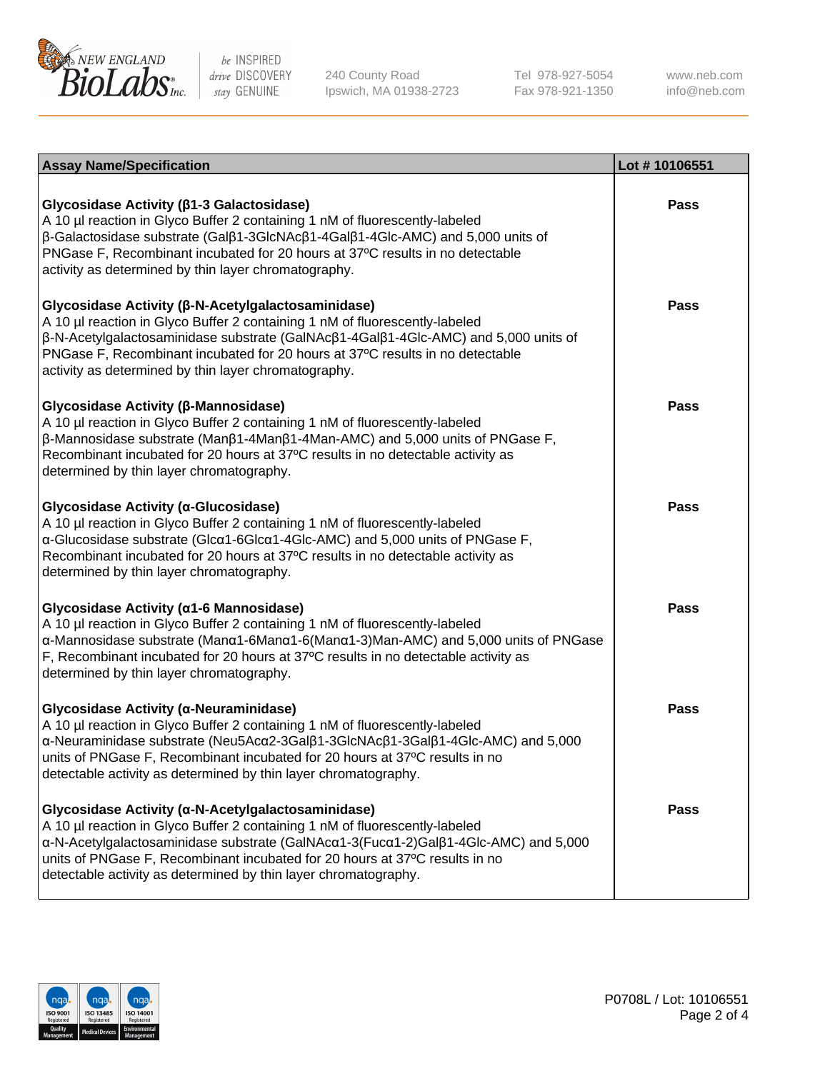

240 County Road Ipswich, MA 01938-2723 Tel 978-927-5054 Fax 978-921-1350

www.neb.com info@neb.com

| <b>Assay Name/Specification</b>                                                                                                                                                                                                                                                                                                                                            | Lot #10106551 |
|----------------------------------------------------------------------------------------------------------------------------------------------------------------------------------------------------------------------------------------------------------------------------------------------------------------------------------------------------------------------------|---------------|
| Glycosidase Activity (β1-3 Galactosidase)<br>A 10 µl reaction in Glyco Buffer 2 containing 1 nM of fluorescently-labeled<br>β-Galactosidase substrate (Galβ1-3GlcNAcβ1-4Galβ1-4Glc-AMC) and 5,000 units of<br>PNGase F, Recombinant incubated for 20 hours at 37°C results in no detectable<br>activity as determined by thin layer chromatography.                        | <b>Pass</b>   |
| Glycosidase Activity (β-N-Acetylgalactosaminidase)<br>A 10 µl reaction in Glyco Buffer 2 containing 1 nM of fluorescently-labeled<br>β-N-Acetylgalactosaminidase substrate (GalNAcβ1-4Galβ1-4Glc-AMC) and 5,000 units of<br>PNGase F, Recombinant incubated for 20 hours at 37°C results in no detectable<br>activity as determined by thin layer chromatography.          | Pass          |
| Glycosidase Activity (β-Mannosidase)<br>A 10 µl reaction in Glyco Buffer 2 containing 1 nM of fluorescently-labeled<br>$\beta$ -Mannosidase substrate (Man $\beta$ 1-4Man $\beta$ 1-4Man-AMC) and 5,000 units of PNGase F,<br>Recombinant incubated for 20 hours at 37°C results in no detectable activity as<br>determined by thin layer chromatography.                  | <b>Pass</b>   |
| Glycosidase Activity (α-Glucosidase)<br>A 10 µl reaction in Glyco Buffer 2 containing 1 nM of fluorescently-labeled<br>α-Glucosidase substrate (Glcα1-6Glcα1-4Glc-AMC) and 5,000 units of PNGase F,<br>Recombinant incubated for 20 hours at 37°C results in no detectable activity as<br>determined by thin layer chromatography.                                         | <b>Pass</b>   |
| Glycosidase Activity (α1-6 Mannosidase)<br>A 10 µl reaction in Glyco Buffer 2 containing 1 nM of fluorescently-labeled<br>α-Mannosidase substrate (Manα1-6Manα1-6(Manα1-3)Man-AMC) and 5,000 units of PNGase<br>F, Recombinant incubated for 20 hours at 37°C results in no detectable activity as<br>determined by thin layer chromatography.                             | <b>Pass</b>   |
| Glycosidase Activity (α-Neuraminidase)<br>A 10 µl reaction in Glyco Buffer 2 containing 1 nM of fluorescently-labeled<br>α-Neuraminidase substrate (Neu5Acα2-3Galβ1-3GlcNAcβ1-3Galβ1-4Glc-AMC) and 5,000<br>units of PNGase F, Recombinant incubated for 20 hours at 37°C results in no<br>detectable activity as determined by thin layer chromatography.                 | Pass          |
| Glycosidase Activity (α-N-Acetylgalactosaminidase)<br>A 10 µl reaction in Glyco Buffer 2 containing 1 nM of fluorescently-labeled<br>α-N-Acetylgalactosaminidase substrate (GalNAcα1-3(Fucα1-2)Galβ1-4Glc-AMC) and 5,000<br>units of PNGase F, Recombinant incubated for 20 hours at 37°C results in no<br>detectable activity as determined by thin layer chromatography. | Pass          |

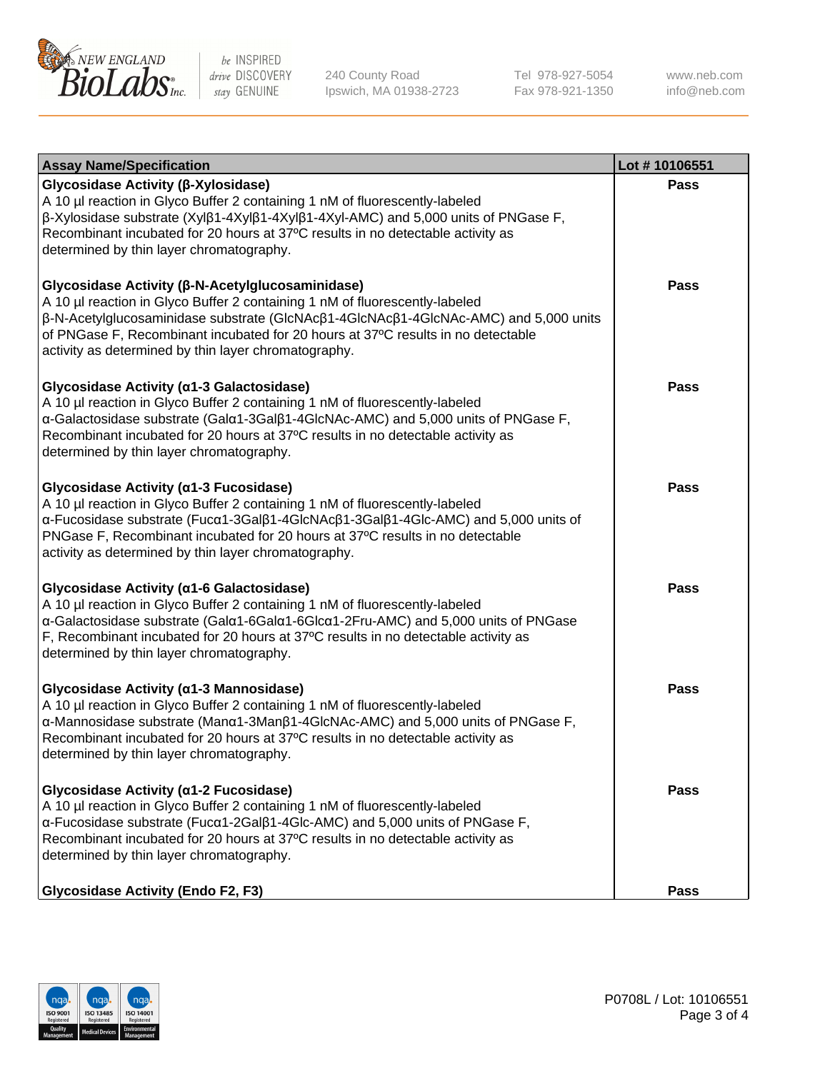

240 County Road Ipswich, MA 01938-2723 Tel 978-927-5054 Fax 978-921-1350 www.neb.com info@neb.com

| <b>Assay Name/Specification</b>                                                                                                                                                                                                                                                                                                                                        | Lot #10106551 |
|------------------------------------------------------------------------------------------------------------------------------------------------------------------------------------------------------------------------------------------------------------------------------------------------------------------------------------------------------------------------|---------------|
| Glycosidase Activity (β-Xylosidase)<br>A 10 µl reaction in Glyco Buffer 2 containing 1 nM of fluorescently-labeled<br>$\beta$ -Xylosidase substrate (Xyl $\beta$ 1-4Xyl $\beta$ 1-4Xyl $\beta$ 1-4Xyl-AMC) and 5,000 units of PNGase F,<br>Recombinant incubated for 20 hours at 37°C results in no detectable activity as<br>determined by thin layer chromatography. | <b>Pass</b>   |
| Glycosidase Activity (β-N-Acetylglucosaminidase)<br>A 10 µl reaction in Glyco Buffer 2 containing 1 nM of fluorescently-labeled<br>β-N-Acetylglucosaminidase substrate (GlcNAcβ1-4GlcNAcβ1-4GlcNAc-AMC) and 5,000 units<br>of PNGase F, Recombinant incubated for 20 hours at 37°C results in no detectable<br>activity as determined by thin layer chromatography.    | <b>Pass</b>   |
| Glycosidase Activity (α1-3 Galactosidase)<br>A 10 µl reaction in Glyco Buffer 2 containing 1 nM of fluorescently-labeled<br>α-Galactosidase substrate (Galα1-3Galβ1-4GlcNAc-AMC) and 5,000 units of PNGase F,<br>Recombinant incubated for 20 hours at 37°C results in no detectable activity as<br>determined by thin layer chromatography.                           | <b>Pass</b>   |
| Glycosidase Activity (α1-3 Fucosidase)<br>A 10 µl reaction in Glyco Buffer 2 containing 1 nM of fluorescently-labeled<br>α-Fucosidase substrate (Fucα1-3Galβ1-4GlcNAcβ1-3Galβ1-4Glc-AMC) and 5,000 units of<br>PNGase F, Recombinant incubated for 20 hours at 37°C results in no detectable<br>activity as determined by thin layer chromatography.                   | <b>Pass</b>   |
| Glycosidase Activity (a1-6 Galactosidase)<br>A 10 µl reaction in Glyco Buffer 2 containing 1 nM of fluorescently-labeled<br>α-Galactosidase substrate (Galα1-6Galα1-6Glcα1-2Fru-AMC) and 5,000 units of PNGase<br>F, Recombinant incubated for 20 hours at 37°C results in no detectable activity as<br>determined by thin layer chromatography.                       | <b>Pass</b>   |
| Glycosidase Activity (α1-3 Mannosidase)<br>A 10 µl reaction in Glyco Buffer 2 containing 1 nM of fluorescently-labeled<br>α-Mannosidase substrate (Manα1-3Manβ1-4GlcNAc-AMC) and 5,000 units of PNGase F,<br>Recombinant incubated for 20 hours at 37°C results in no detectable activity as<br>determined by thin layer chromatography.                               | <b>Pass</b>   |
| Glycosidase Activity (α1-2 Fucosidase)<br>A 10 µl reaction in Glyco Buffer 2 containing 1 nM of fluorescently-labeled<br>α-Fucosidase substrate (Fucα1-2Galβ1-4Glc-AMC) and 5,000 units of PNGase F,<br>Recombinant incubated for 20 hours at 37°C results in no detectable activity as<br>determined by thin layer chromatography.                                    | Pass          |
| <b>Glycosidase Activity (Endo F2, F3)</b>                                                                                                                                                                                                                                                                                                                              | <b>Pass</b>   |